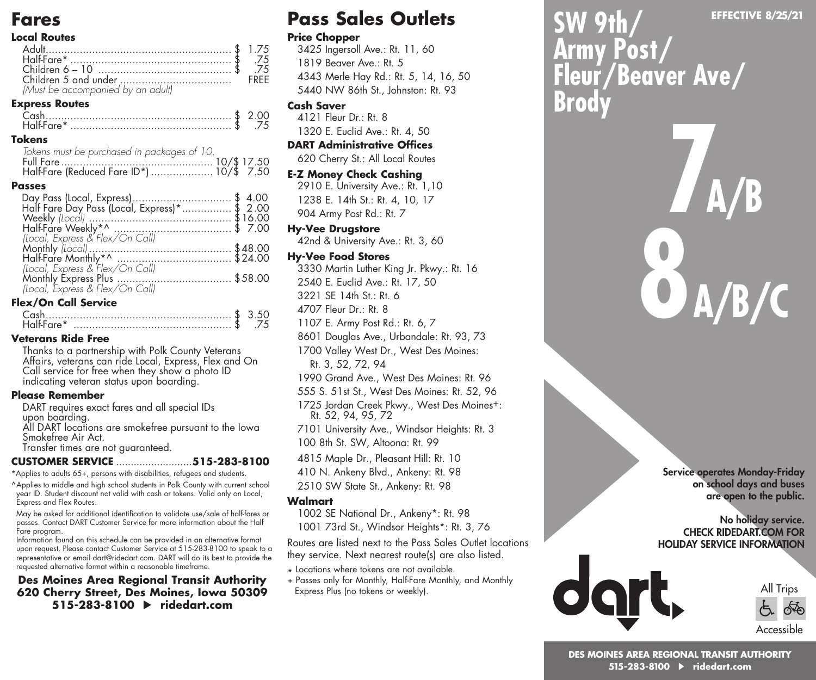### **Fares**

#### **Local Routes**

| 75. \$ .75.                                                |      |
|------------------------------------------------------------|------|
| 75. \$ .75.                                                | FREE |
| (Must be accompanied by an adult)<br><b>Express Routes</b> |      |

### Cash............................................................ \$ 2.00

| <b>Tokens</b>                               |  |
|---------------------------------------------|--|
| Tokens must be purchased in packages of 10. |  |
|                                             |  |
|                                             |  |

#### **Passes**

| Day Pass (Local, Express)\$ 4.00<br>Half Fare Day Pass (Local, Express)*\$ 2.00 |  |
|---------------------------------------------------------------------------------|--|
|                                                                                 |  |
|                                                                                 |  |
|                                                                                 |  |
|                                                                                 |  |
|                                                                                 |  |
|                                                                                 |  |
|                                                                                 |  |
|                                                                                 |  |

#### **Flex/On Call Service**

| Half-Fare* |  |  |
|------------|--|--|

#### **Veterans Ride Free**

Thanks to a partnership with Polk County Veterans Affairs, veterans can ride Local, Express, Flex and On Call service for free when they show a photo ID indicating veteran status upon boarding.

#### **Please Remember**

DART requires exact fares and all special IDs upon boarding. All DART locations are smokefree pursuant to the Iowa Smokefree Air Act. Transfer times are not guaranteed.

#### **CUSTOMER SERVICE** ..........................**515-283-8100**

\*Applies to adults 65+, persons with disabilities, refugees and students. ^Applies to middle and high school students in Polk County with current school year ID. Student discount not valid with cash or tokens. Valid only on Local, Express and Flex Routes.

May be asked for additional identification to validate use/sale of half-fares or passes. Contact DART Customer Service for more information about the Half Fare program.

Information found on this schedule can be provided in an alternative format upon request. Please contact Customer Service at 515-283-8100 to speak to a representative or email dart@ridedart.com. DART will do its best to provide the requested alternative format within a reasonable timeframe.

#### **Des Moines Area Regional Transit Authority 620 Cherry Street, Des Moines, Iowa 50309 515-283-8100 ridedart.com**

# **Pass Sales Outlets**

#### **Price Chopper**

3425 Ingersoll Ave.: Rt. 11, 60 1819 Beaver Ave.: Rt. 5 4343 Merle Hay Rd.: Rt. 5, 14, 16, 50 5440 NW 86th St., Johnston: Rt. 93

#### **Cash Saver**

4121 Fleur Dr.: Rt. 8 1320 E. Euclid Ave.: Rt. 4, 50

### **DART Administrative Offices**

620 Cherry St.: All Local Routes

#### **E-Z Money Check Cashing**

2910 E. University Ave.: Rt. 1,10 1238 E. 14th St.: Rt. 4, 10, 17 904 Army Post Rd.: Rt. 7

#### **Hy-Vee Drugstore**

42nd & University Ave.: Rt. 3, 60

#### **Hy-Vee Food Stores**

3330 Martin Luther King Jr. Pkwy.: Rt. 16

2540 E. Euclid Ave.: Rt. 17, 50

3221 SE 14th St.: Rt. 6

4707 Fleur Dr.: Rt. 8

1107 E. Army Post Rd.: Rt. 6, 7

8601 Douglas Ave., Urbandale: Rt. 93, 73

1700 Valley West Dr., West Des Moines:

- Rt. 3, 52, 72, 94
- 1990 Grand Ave., West Des Moines: Rt. 96
- 555 S. 51st St., West Des Moines: Rt. 52, 96

1725 Jordan Creek Pkwy., West Des Moines+: Rt. 52, 94, 95, 72

7101 University Ave., Windsor Heights: Rt. 3 100 8th St. SW, Altoona: Rt. 99

4815 Maple Dr., Pleasant Hill: Rt. 10

410 N. Ankeny Blvd., Ankeny: Rt. 98

2510 SW State St., Ankeny: Rt. 98

#### **Walmart**

1002 SE National Dr., Ankeny\*: Rt. 98 1001 73rd St., Windsor Heights\*: Rt. 3, 76

Routes are listed next to the Pass Sales Outlet locations they service. Next nearest route(s) are also listed.

- \* Locations where tokens are not available.
- + Passes only for Monthly, Half-Fare Monthly, and Monthly Express Plus (no tokens or weekly).

**SW 9th/ Army Post/ Fleur/Beaver Ave/ Brody**

> Service operates Monday-Friday on school days and buses are open to the public.

#### No holiday service. CHECK RIDEDART.COM FOR HOLIDAY SERVICE INFORMATION



**EFFECTIVE 8/25/21**

**7 A/B**

**8 A/B/C**